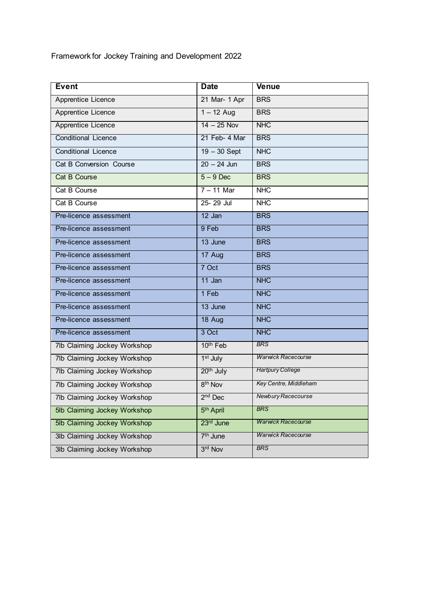Framework for Jockey Training and Development 2022

| <b>Event</b>                 | <b>Date</b>           | Venue                     |  |
|------------------------------|-----------------------|---------------------------|--|
| Apprentice Licence           | 21 Mar- 1 Apr         | <b>BRS</b>                |  |
| Apprentice Licence           | $1 - 12$ Aug          | <b>BRS</b>                |  |
| Apprentice Licence           | $14 - 25$ Nov         | <b>NHC</b>                |  |
| <b>Conditional Licence</b>   | 21 Feb- 4 Mar         | <b>BRS</b>                |  |
| <b>Conditional Licence</b>   | $19 - 30$ Sept        | <b>NHC</b>                |  |
| Cat B Conversion Course      | $20 - 24$ Jun         | <b>BRS</b>                |  |
| <b>Cat B Course</b>          | $5 - 9$ Dec           | <b>BRS</b>                |  |
| Cat B Course                 | $7 - 11$ Mar          | <b>NHC</b>                |  |
| Cat B Course                 | 25-29 Jul             | <b>NHC</b>                |  |
| Pre-licence assessment       | $12$ Jan              | <b>BRS</b>                |  |
| Pre-licence assessment       | 9 Feb                 | <b>BRS</b>                |  |
| Pre-licence assessment       | 13 June               | <b>BRS</b>                |  |
| Pre-licence assessment       | 17 Aug                | <b>BRS</b>                |  |
| Pre-licence assessment       | 7 Oct                 | <b>BRS</b>                |  |
| Pre-licence assessment       | 11 Jan                | <b>NHC</b>                |  |
| Pre-licence assessment       | 1 Feb                 | <b>NHC</b>                |  |
| Pre-licence assessment       | 13 June               | <b>NHC</b>                |  |
| Pre-licence assessment       | 18 Aug                | <b>NHC</b>                |  |
| Pre-licence assessment       | 3 Oct                 | <b>NHC</b>                |  |
| 7lb Claiming Jockey Workshop | 10 <sup>th</sup> Feb  | <b>BRS</b>                |  |
| 7lb Claiming Jockey Workshop | 1 <sup>st</sup> July  | <b>Warwick Racecourse</b> |  |
| 7lb Claiming Jockey Workshop | 20 <sup>th</sup> July | <b>Hartpury College</b>   |  |
| 7lb Claiming Jockey Workshop | 8 <sup>th</sup> Nov   | Key Centre, Middleham     |  |
| 7lb Claiming Jockey Workshop | $2nd$ Dec             | Newbury Racecourse        |  |
| 5lb Claiming Jockey Workshop | 5 <sup>th</sup> April | <b>BRS</b>                |  |
| 5lb Claiming Jockey Workshop | 23 <sup>rd</sup> June | <b>Warwick Racecourse</b> |  |
| 3lb Claiming Jockey Workshop | 7 <sup>th</sup> June  | <b>Warwick Racecourse</b> |  |
| 3lb Claiming Jockey Workshop | 3rd Nov               | <b>BRS</b>                |  |